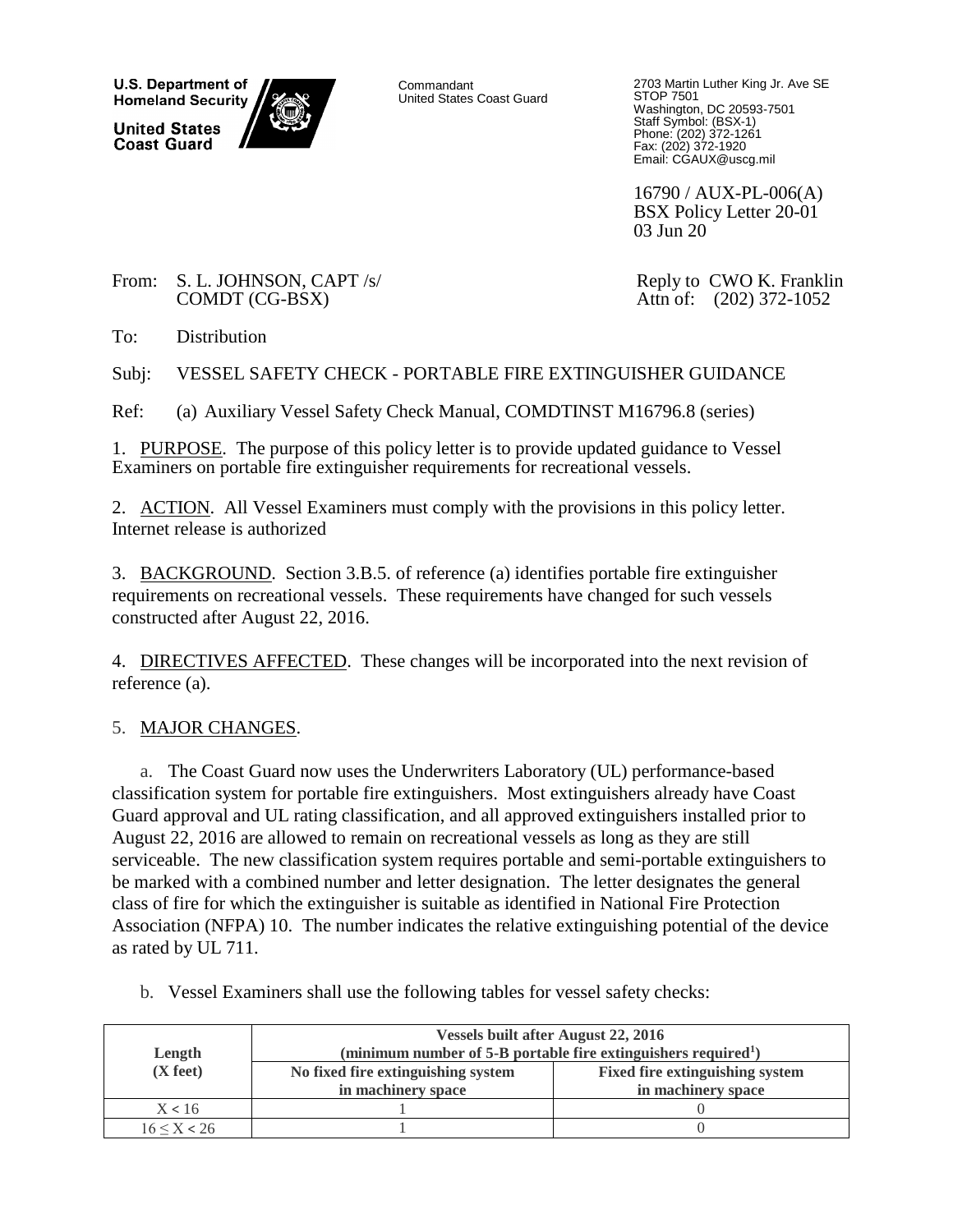**U.S. Department of Homeland Security United States Coast Guard** 

Commandant United States Coast Guard 2703 Martin Luther King Jr. Ave SE STOP 7501 Washington, DC 20593-7501 Staff Symbol: (BSX-1) Phone: (202) 372-1261 Fax: (202) 372-1920 Email: CGAUX@uscg.mil

16790 / AUX-PL-006(A) BSX Policy Letter 20-01 03 Jun 20

From: S. L. JOHNSON, CAPT /s/ COMDT (CG-BSX)

 Reply to CWO K. Franklin Attn of: (202) 372-1052

To: Distribution

Subj: VESSEL SAFETY CHECK - PORTABLE FIRE EXTINGUISHER GUIDANCE

Ref: (a) Auxiliary Vessel Safety Check Manual, COMDTINST M16796.8 (series)

1. PURPOSE. The purpose of this policy letter is to provide updated guidance to Vessel Examiners on portable fire extinguisher requirements for recreational vessels.

2. ACTION. All Vessel Examiners must comply with the provisions in this policy letter. Internet release is authorized

3. BACKGROUND. Section 3.B.5. of reference (a) identifies portable fire extinguisher requirements on recreational vessels. These requirements have changed for such vessels constructed after August 22, 2016.

4. DIRECTIVES AFFECTED. These changes will be incorporated into the next revision of reference (a).

## 5. MAJOR CHANGES.

a. The Coast Guard now uses the Underwriters Laboratory (UL) performance-based classification system for portable fire extinguishers. Most extinguishers already have Coast Guard approval and UL rating classification, and all approved extinguishers installed prior to August 22, 2016 are allowed to remain on recreational vessels as long as they are still serviceable. The new classification system requires portable and semi-portable extinguishers to be marked with a combined number and letter designation. The letter designates the general class of fire for which the extinguisher is suitable as identified in National Fire Protection Association (NFPA) 10. The number indicates the relative extinguishing potential of the device as rated by UL 711.

- **Length (X feet) Vessels built after August 22, 2016 (minimum number of 5-B portable fire extinguishers required<sup>1</sup> ) No fixed fire extinguishing system in machinery space Fixed fire extinguishing system in machinery space**  $X < 16$  1 0  $16 \le X < 26$  1 0
- b. Vessel Examiners shall use the following tables for vessel safety checks: